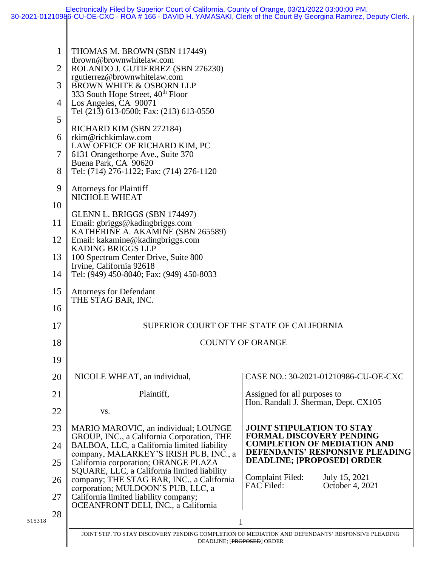|        | 1<br>$\overline{2}$ | THOMAS M. BROWN (SBN 117449)<br>tbrown@brownwhitelaw.com<br>ROLANDO J. GUTIERREZ (SBN 276230)<br>rgutierrez@brownwhitelaw.com   |                                                                           |  |  |
|--------|---------------------|---------------------------------------------------------------------------------------------------------------------------------|---------------------------------------------------------------------------|--|--|
|        | 3                   | <b>BROWN WHITE &amp; OSBORN LLP</b><br>333 South Hope Street, 40 <sup>th</sup> Floor                                            |                                                                           |  |  |
|        | 4<br>5              | Los Angeles, CA 90071<br>Tel (213) 613-0500; Fax: (213) 613-0550                                                                |                                                                           |  |  |
|        | 6                   | RICHARD KIM (SBN 272184)<br>rkim@richkimlaw.com                                                                                 |                                                                           |  |  |
|        | 7                   | LAW OFFICE OF RICHARD KIM, PC<br>6131 Orangethorpe Ave., Suite 370                                                              |                                                                           |  |  |
|        | 8                   | Buena Park, CA 90620<br>Tel: (714) 276-1122; Fax: (714) 276-1120                                                                |                                                                           |  |  |
|        | 9                   | Attorneys for Plaintiff<br>NICHOLE WHEAT                                                                                        |                                                                           |  |  |
|        | 10<br>11            | GLENN L. BRIGGS (SBN 174497)                                                                                                    |                                                                           |  |  |
|        | 12                  | Email: gbriggs@kadingbriggs.com<br>KATHERINE A. AKAMINE (SBN 265589)<br>Email: kakamine@kadingbriggs.com                        |                                                                           |  |  |
|        | 13                  | <b>KADING BRIGGS LLP</b><br>100 Spectrum Center Drive, Suite 800                                                                |                                                                           |  |  |
|        | 14                  | Irvine, California 92618<br>Tel: (949) 450-8040; Fax: (949) 450-8033                                                            |                                                                           |  |  |
|        | 15                  | <b>Attorneys for Defendant</b><br>THE STAG BAR, INC.                                                                            |                                                                           |  |  |
|        | 16                  |                                                                                                                                 |                                                                           |  |  |
|        | 17                  | SUPERIOR COURT OF THE STATE OF CALIFORNIA                                                                                       |                                                                           |  |  |
|        | 18                  | <b>COUNTY OF ORANGE</b>                                                                                                         |                                                                           |  |  |
|        | 19                  |                                                                                                                                 |                                                                           |  |  |
|        | 20                  | NICOLE WHEAT, an individual,                                                                                                    | CASE NO.: 30-2021-01210986-CU-OE-CXC                                      |  |  |
|        | 21                  | Plaintiff,                                                                                                                      | Assigned for all purposes to<br>Hon. Randall J. Sherman, Dept. CX105      |  |  |
|        | 22                  | VS.                                                                                                                             |                                                                           |  |  |
|        | 23                  | MARIO MAROVIC, an individual; LOUNGE<br>GROUP, INC., a California Corporation, THE                                              | <b>JOINT STIPULATION TO STAY</b><br><b>FORMAL DISCOVERY PENDING</b>       |  |  |
|        | 24                  | BALBOA, LLC, a California limited liability<br>company, MALARKEY'S IRISH PUB, INC., a                                           | <b>COMPLETION OF MEDIATION AND</b><br>DEFENDANTS' RESPONSIVE PLEADING     |  |  |
|        | 25                  | California corporation; ORANGE PLAZA<br>SQUARE, LLC, a California limited liability                                             | <b>DEADLINE; [PROPOSED] ORDER</b>                                         |  |  |
|        | 26                  | company; THE STAG BAR, INC., a California<br>corporation; MULDOON'S PUB, LLC, a                                                 | <b>Complaint Filed:</b><br>July 15, 2021<br>FAC Filed:<br>October 4, 2021 |  |  |
|        | 27                  | California limited liability company;<br>OCEANFRONT DELI, INC., a California                                                    |                                                                           |  |  |
| 515318 | 28                  |                                                                                                                                 |                                                                           |  |  |
|        |                     | JOINT STIP. TO STAY DISCOVERY PENDING COMPLETION OF MEDIATION AND DEFENDANTS' RESPONSIVE PLEADING<br>DEADLINE; [PROPOSED] ORDER |                                                                           |  |  |
|        |                     |                                                                                                                                 |                                                                           |  |  |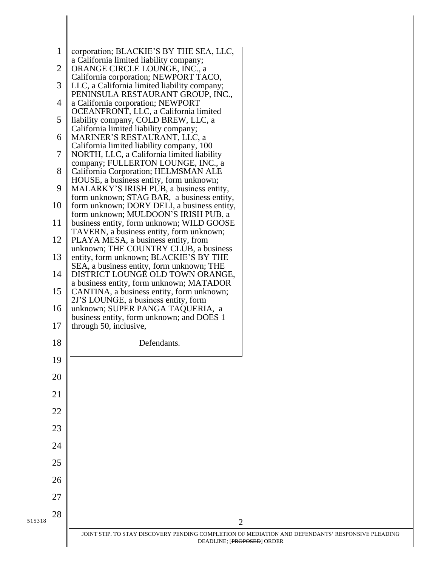|        | $\mathbf{1}$   | corporation; BLACKIE'S BY THE SEA, LLC,                                                   |  |
|--------|----------------|-------------------------------------------------------------------------------------------|--|
|        | $\overline{2}$ | a California limited liability company;<br>ORANGE CIRCLE LOUNGE, INC., a                  |  |
|        | 3              | California corporation; NEWPORT TACO,<br>LLC, a California limited liability company;     |  |
|        | $\overline{4}$ | PENINSULA RESTAURANT GROUP, INC.,<br>a California corporation; NEWPORT                    |  |
|        | 5              | OCEANFRONT, LLC, a California limited<br>liability company, COLD BREW, LLC, a             |  |
|        | 6              | California limited liability company;<br>MARINER'S RESTAURANT, LLC, a                     |  |
|        | 7              | California limited liability company, 100<br>NORTH, LLC, a California limited liability   |  |
|        | 8              | company; FULLERTON LOUNGE, INC., a<br>California Corporation; HELMSMAN ALE                |  |
|        | 9              | HOUSE, a business entity, form unknown;<br>MALARKY'S IRISH PUB, a business entity,        |  |
|        | 10             | form unknown; STAG BAR, a business entity,<br>form unknown; DORY DELI, a business entity, |  |
|        | 11             | form unknown; MULDOON'S IRISH PUB, a<br>business entity, form unknown; WILD GOOSE         |  |
|        |                | TAVERN, a business entity, form unknown;                                                  |  |
|        | 12             | PLAYA MESA, a business entity, from<br>unknown; THE COUNTRY CLUB, a business              |  |
|        | 13             | entity, form unknown; BLACKIE'S BY THE<br>SEA, a business entity, form unknown; THE       |  |
|        | 14             | DISTRICT LOUNGE OLD TOWN ORANGE,<br>a business entity, form unknown; MATADOR              |  |
|        | 15             | CANTINA, a business entity, form unknown;<br>2J'S LOUNGE, a business entity, form         |  |
|        | 16             | unknown; SUPER PANGA TAQUERIA, a<br>business entity, form unknown; and DOES 1             |  |
|        | 17             | through 50, inclusive,                                                                    |  |
|        | 18             | Defendants.                                                                               |  |
|        | 19             |                                                                                           |  |
|        | 20             |                                                                                           |  |
|        | 21             |                                                                                           |  |
|        | 22             |                                                                                           |  |
|        | 23             |                                                                                           |  |
|        | 24             |                                                                                           |  |
|        | 25             |                                                                                           |  |
|        | 26             |                                                                                           |  |
|        | 27             |                                                                                           |  |
|        | 28             |                                                                                           |  |
| 515318 |                | $\overline{2}$<br>JOINT STIP. TO STAY DISCOVERY PENDING COMPLETION OF MEDIATION AND       |  |
|        |                | DEADLINE; [PROPOSED] ORDER                                                                |  |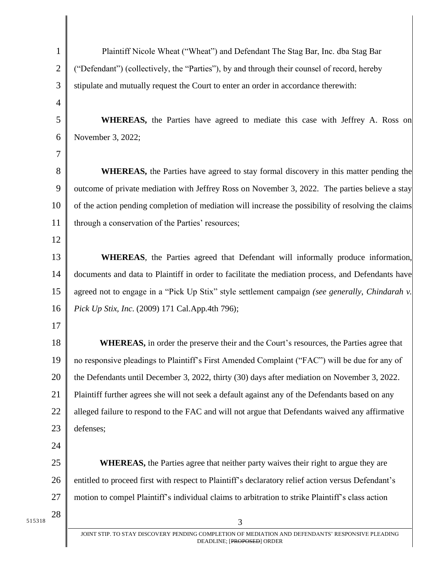|        | $\mathbf 1$  | Plaintiff Nicole Wheat ("Wheat") and Defendant The Stag Bar, Inc. dba Stag Bar                                                  |
|--------|--------------|---------------------------------------------------------------------------------------------------------------------------------|
|        | $\mathbf{2}$ | ("Defendant") (collectively, the "Parties"), by and through their counsel of record, hereby                                     |
|        | 3            | stipulate and mutually request the Court to enter an order in accordance therewith:                                             |
|        | 4            |                                                                                                                                 |
|        | 5            | WHEREAS, the Parties have agreed to mediate this case with Jeffrey A. Ross on                                                   |
|        | 6            | November 3, 2022;                                                                                                               |
|        | 7            |                                                                                                                                 |
|        | 8            | <b>WHEREAS</b> , the Parties have agreed to stay formal discovery in this matter pending the                                    |
|        | 9            | outcome of private mediation with Jeffrey Ross on November 3, 2022. The parties believe a stay                                  |
|        | 10           | of the action pending completion of mediation will increase the possibility of resolving the claims                             |
|        | 11           | through a conservation of the Parties' resources;                                                                               |
|        | 12           |                                                                                                                                 |
|        | 13           | WHEREAS, the Parties agreed that Defendant will informally produce information,                                                 |
|        | 14           | documents and data to Plaintiff in order to facilitate the mediation process, and Defendants have                               |
|        | 15           | agreed not to engage in a "Pick Up Stix" style settlement campaign (see generally, Chindarah v.                                 |
|        | 16           | Pick Up Stix, Inc. (2009) 171 Cal.App.4th 796);                                                                                 |
|        | 17           |                                                                                                                                 |
|        | 18           | WHEREAS, in order the preserve their and the Court's resources, the Parties agree that                                          |
|        | 19           | no responsive pleadings to Plaintiff's First Amended Complaint ("FAC") will be due for any of                                   |
|        | 20           | the Defendants until December 3, 2022, thirty (30) days after mediation on November 3, 2022.                                    |
|        | 21           | Plaintiff further agrees she will not seek a default against any of the Defendants based on any                                 |
|        | 22           | alleged failure to respond to the FAC and will not argue that Defendants waived any affirmative                                 |
|        | 23           | defenses;                                                                                                                       |
|        | 24           |                                                                                                                                 |
|        | 25           | <b>WHEREAS</b> , the Parties agree that neither party waives their right to argue they are                                      |
|        | 26           | entitled to proceed first with respect to Plaintiff's declaratory relief action versus Defendant's                              |
|        | 27           | motion to compel Plaintiff's individual claims to arbitration to strike Plaintiff's class action                                |
| 515318 | 28           | 3                                                                                                                               |
|        |              | JOINT STIP. TO STAY DISCOVERY PENDING COMPLETION OF MEDIATION AND DEFENDANTS' RESPONSIVE PLEADING<br>DEADLINE; [PROPOSED] ORDER |
|        |              |                                                                                                                                 |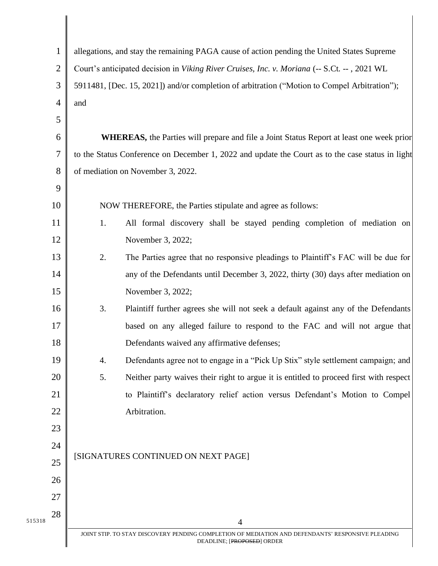|        | 1              | allegations, and stay the remaining PAGA cause of action pending the United States Supreme        |  |  |
|--------|----------------|---------------------------------------------------------------------------------------------------|--|--|
|        | $\overline{2}$ | Court's anticipated decision in Viking River Cruises, Inc. v. Moriana (-- S.Ct. --, 2021 WL       |  |  |
|        | 3              | 5911481, [Dec. 15, 2021]) and/or completion of arbitration ("Motion to Compel Arbitration");      |  |  |
|        | $\overline{4}$ | and                                                                                               |  |  |
|        | 5              |                                                                                                   |  |  |
|        | 6              | <b>WHEREAS</b> , the Parties will prepare and file a Joint Status Report at least one week prior  |  |  |
|        | 7              | to the Status Conference on December 1, 2022 and update the Court as to the case status in light  |  |  |
|        | 8              | of mediation on November 3, 2022.                                                                 |  |  |
|        | 9              |                                                                                                   |  |  |
|        | 10             | NOW THEREFORE, the Parties stipulate and agree as follows:                                        |  |  |
|        | 11             | All formal discovery shall be stayed pending completion of mediation on<br>1.                     |  |  |
|        | 12             | November 3, 2022;                                                                                 |  |  |
|        | 13             | 2.<br>The Parties agree that no responsive pleadings to Plaintiff's FAC will be due for           |  |  |
|        | 14             | any of the Defendants until December 3, 2022, thirty (30) days after mediation on                 |  |  |
|        | 15             | November 3, 2022;                                                                                 |  |  |
|        | 16             | 3.<br>Plaintiff further agrees she will not seek a default against any of the Defendants          |  |  |
|        | 17             | based on any alleged failure to respond to the FAC and will not argue that                        |  |  |
|        | 18             | Defendants waived any affirmative defenses;                                                       |  |  |
|        | 19             | Defendants agree not to engage in a "Pick Up Stix" style settlement campaign; and<br>4.           |  |  |
|        | 20             | 5.<br>Neither party waives their right to argue it is entitled to proceed first with respect      |  |  |
|        | 21             | to Plaintiff's declaratory relief action versus Defendant's Motion to Compel                      |  |  |
|        | 22             | Arbitration.                                                                                      |  |  |
|        | 23             |                                                                                                   |  |  |
| 24     |                |                                                                                                   |  |  |
|        | 25             | [SIGNATURES CONTINUED ON NEXT PAGE]                                                               |  |  |
|        | 26             |                                                                                                   |  |  |
|        | 27             |                                                                                                   |  |  |
| 515318 | 28             | 4                                                                                                 |  |  |
|        |                | JOINT STIP. TO STAY DISCOVERY PENDING COMPLETION OF MEDIATION AND DEFENDANTS' RESPONSIVE PLEADING |  |  |
|        |                | DEADLINE; [PROPOSED] ORDER                                                                        |  |  |

║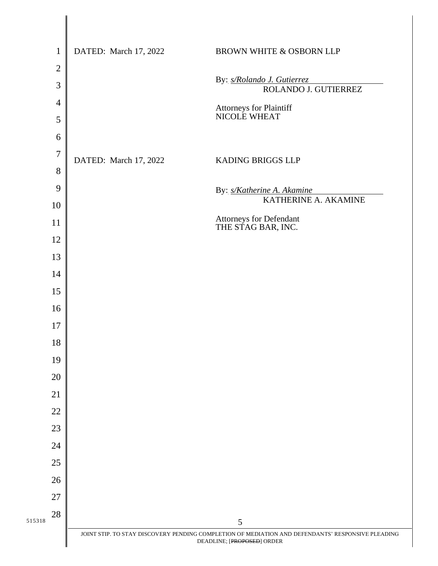|        | $\mathbf{1}$   | DATED: March 17, 2022 | <b>BROWN WHITE &amp; OSBORN LLP</b>                                                                                             |
|--------|----------------|-----------------------|---------------------------------------------------------------------------------------------------------------------------------|
|        | $\overline{2}$ |                       |                                                                                                                                 |
|        | 3              |                       | By: s/Rolando J. Gutierrez<br>ROLANDO J. GUTIERREZ                                                                              |
|        | $\overline{4}$ |                       |                                                                                                                                 |
|        | 5              |                       | <b>Attorneys for Plaintiff<br/>NICOLE WHEAT</b>                                                                                 |
|        | 6              |                       |                                                                                                                                 |
|        | $\overline{7}$ | DATED: March 17, 2022 | KADING BRIGGS LLP                                                                                                               |
|        | 8              |                       |                                                                                                                                 |
|        | 9              |                       | By: s/Katherine A. Akamine                                                                                                      |
|        | 10             |                       | KATHERINE A. AKAMINE                                                                                                            |
|        | 11             |                       | Attorneys for Defendant<br>THE STAG BAR, INC.                                                                                   |
|        | 12             |                       |                                                                                                                                 |
|        | 13             |                       |                                                                                                                                 |
|        | 14             |                       |                                                                                                                                 |
|        | 15             |                       |                                                                                                                                 |
|        | 16             |                       |                                                                                                                                 |
|        | 17             |                       |                                                                                                                                 |
|        | 18             |                       |                                                                                                                                 |
|        | 19             |                       |                                                                                                                                 |
|        | 20             |                       |                                                                                                                                 |
|        | 21             |                       |                                                                                                                                 |
|        | 22             |                       |                                                                                                                                 |
|        | 23             |                       |                                                                                                                                 |
|        | 24             |                       |                                                                                                                                 |
|        | 25             |                       |                                                                                                                                 |
|        | 26             |                       |                                                                                                                                 |
|        | $27\,$         |                       |                                                                                                                                 |
| 515318 | 28             |                       | 5                                                                                                                               |
|        |                |                       | JOINT STIP. TO STAY DISCOVERY PENDING COMPLETION OF MEDIATION AND DEFENDANTS' RESPONSIVE PLEADING<br>DEADLINE; [PROPOSED] ORDER |
|        |                |                       |                                                                                                                                 |